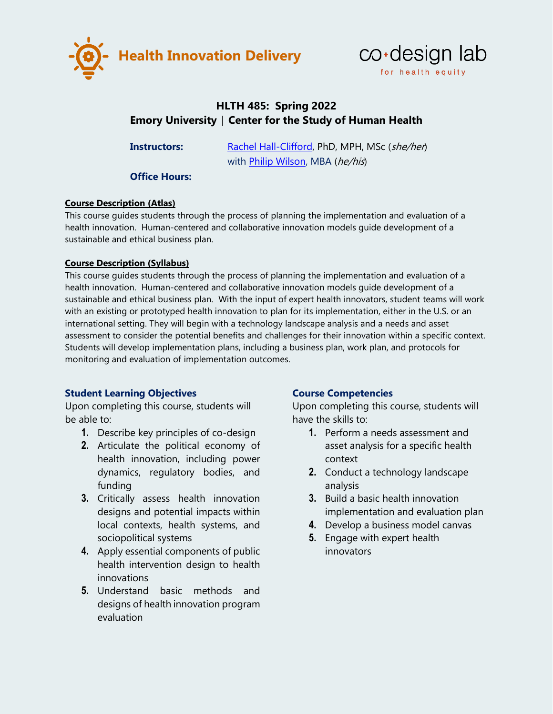



# **HLTH 485: Spring 2022 Emory University │ Center for the Study of Human Health**

**Instructors:** [Rachel Hall-Clifford,](http://sociology.emory.edu/home/people/faculty/hall-clifford-rachel.html) PhD, MPH, MSc (she/her) with [Philip Wilson,](http://humanhealth.emory.edu/home/people/faculty-bios/philip-wilson.html) MBA (he/his)

**Office Hours:**

### **Course Description (Atlas)**

This course guides students through the process of planning the implementation and evaluation of a health innovation. Human-centered and collaborative innovation models guide development of a sustainable and ethical business plan.

### **Course Description (Syllabus)**

This course guides students through the process of planning the implementation and evaluation of a health innovation. Human-centered and collaborative innovation models guide development of a sustainable and ethical business plan. With the input of expert health innovators, student teams will work with an existing or prototyped health innovation to plan for its implementation, either in the U.S. or an international setting. They will begin with a technology landscape analysis and a needs and asset assessment to consider the potential benefits and challenges for their innovation within a specific context. Students will develop implementation plans, including a business plan, work plan, and protocols for monitoring and evaluation of implementation outcomes.

## **Student Learning Objectives**

Upon completing this course, students will be able to:

- **1.** Describe key principles of co-design
- **2.** Articulate the political economy of health innovation, including power dynamics, regulatory bodies, and funding
- **3.** Critically assess health innovation designs and potential impacts within local contexts, health systems, and sociopolitical systems
- **4.** Apply essential components of public health intervention design to health innovations
- **5.** Understand basic methods and designs of health innovation program evaluation

## **Course Competencies**

Upon completing this course, students will have the skills to:

- **1.** Perform a needs assessment and asset analysis for a specific health context
- **2.** Conduct a technology landscape analysis
- **3.** Build a basic health innovation implementation and evaluation plan
- **4.** Develop a business model canvas
- **5.** Engage with expert health innovators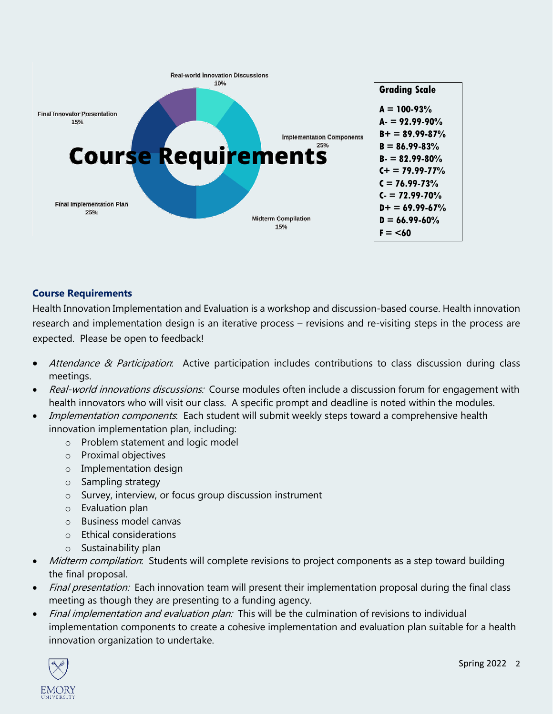

## **Course Requirements**

Health Innovation Implementation and Evaluation is a workshop and discussion-based course. Health innovation research and implementation design is an iterative process – revisions and re-visiting steps in the process are expected. Please be open to feedback!

- Attendance & Participation: Active participation includes contributions to class discussion during class meetings.
- Real-world innovations discussions: Course modules often include a discussion forum for engagement with health innovators who will visit our class. A specific prompt and deadline is noted within the modules.
- Implementation components. Each student will submit weekly steps toward a comprehensive health innovation implementation plan, including:
	- o Problem statement and logic model
	- o Proximal objectives
	- o Implementation design
	- o Sampling strategy
	- o Survey, interview, or focus group discussion instrument
	- o Evaluation plan
	- o Business model canvas
	- o Ethical considerations
	- o Sustainability plan
- Midterm compilation: Students will complete revisions to project components as a step toward building the final proposal.
- *Final presentation:* Each innovation team will present their implementation proposal during the final class meeting as though they are presenting to a funding agency.
- Final implementation and evaluation plan: This will be the culmination of revisions to individual implementation components to create a cohesive implementation and evaluation plan suitable for a health innovation organization to undertake.

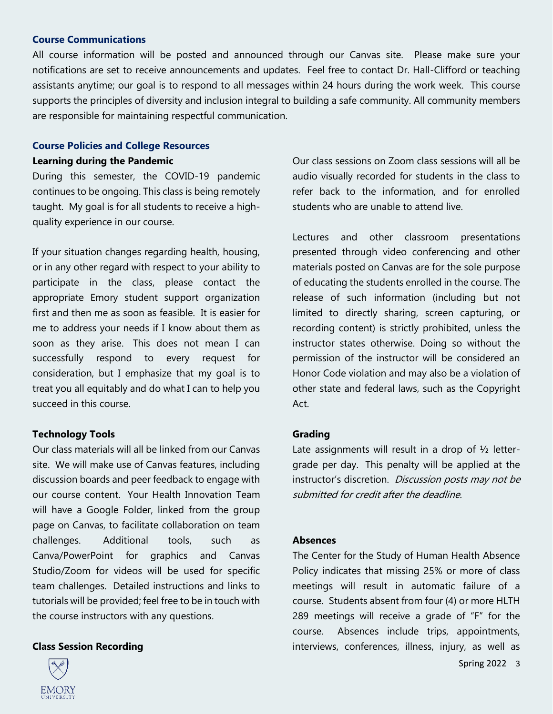#### **Course Communications**

All course information will be posted and announced through our Canvas site. Please make sure your notifications are set to receive announcements and updates. Feel free to contact Dr. Hall-Clifford or teaching assistants anytime; our goal is to respond to all messages within 24 hours during the work week. This course supports the principles of diversity and inclusion integral to building a safe community. All community members are responsible for maintaining respectful communication.

## **Course Policies and College Resources Learning during the Pandemic**

During this semester, the COVID-19 pandemic continues to be ongoing. This class is being remotely taught. My goal is for all students to receive a highquality experience in our course.

If your situation changes regarding health, housing, or in any other regard with respect to your ability to participate in the class, please contact the appropriate Emory student support organization first and then me as soon as feasible. It is easier for me to address your needs if I know about them as soon as they arise. This does not mean I can successfully respond to every request for consideration, but I emphasize that my goal is to treat you all equitably and do what I can to help you succeed in this course.

#### **Technology Tools**

Our class materials will all be linked from our Canvas site. We will make use of Canvas features, including discussion boards and peer feedback to engage with our course content. Your Health Innovation Team will have a Google Folder, linked from the group page on Canvas, to facilitate collaboration on team challenges. Additional tools, such as Canva/PowerPoint for graphics and Canvas Studio/Zoom for videos will be used for specific team challenges. Detailed instructions and links to tutorials will be provided; feel free to be in touch with the course instructors with any questions.

#### **Class Session Recording**



Our class sessions on Zoom class sessions will all be audio visually recorded for students in the class to refer back to the information, and for enrolled students who are unable to attend live.

Lectures and other classroom presentations presented through video conferencing and other materials posted on Canvas are for the sole purpose of educating the students enrolled in the course. The release of such information (including but not limited to directly sharing, screen capturing, or recording content) is strictly prohibited, unless the instructor states otherwise. Doing so without the permission of the instructor will be considered an Honor Code violation and may also be a violation of other state and federal laws, such as the Copyright Act.

#### **Grading**

Late assignments will result in a drop of  $\frac{1}{2}$  lettergrade per day. This penalty will be applied at the instructor's discretion. Discussion posts may not be submitted for credit after the deadline.

#### **Absences**

The Center for the Study of Human Health Absence Policy indicates that missing 25% or more of class meetings will result in automatic failure of a course. Students absent from four (4) or more HLTH 289 meetings will receive a grade of "F" for the course. Absences include trips, appointments, interviews, conferences, illness, injury, as well as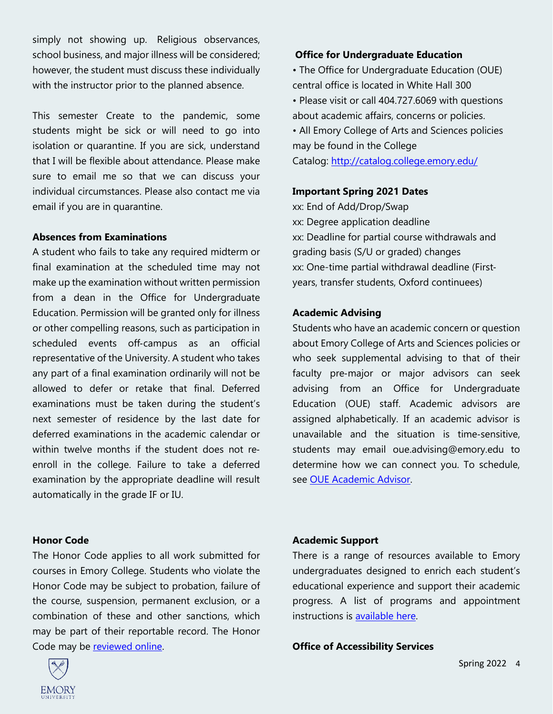simply not showing up. Religious observances, school business, and major illness will be considered; however, the student must discuss these individually with the instructor prior to the planned absence.

This semester Create to the pandemic, some students might be sick or will need to go into isolation or quarantine. If you are sick, understand that I will be flexible about attendance. Please make sure to email me so that we can discuss your individual circumstances. Please also contact me via email if you are in quarantine.

#### **Absences from Examinations**

A student who fails to take any required midterm or final examination at the scheduled time may not make up the examination without written permission from a dean in the Office for Undergraduate Education. Permission will be granted only for illness or other compelling reasons, such as participation in scheduled events off-campus as an official representative of the University. A student who takes any part of a final examination ordinarily will not be allowed to defer or retake that final. Deferred examinations must be taken during the student's next semester of residence by the last date for deferred examinations in the academic calendar or within twelve months if the student does not re‐ enroll in the college. Failure to take a deferred examination by the appropriate deadline will result automatically in the grade IF or IU.

#### **Honor Code**

The Honor Code applies to all work submitted for courses in Emory College. Students who violate the Honor Code may be subject to probation, failure of the course, suspension, permanent exclusion, or a combination of these and other sanctions, which may be part of their reportable record. The Honor Code may be [reviewed online.](http://catalog.college.emory.edu/academic/policies%E2%80%90regulations/honor%E2%80%90code.html)



#### **Office for Undergraduate Education**

• The Office for Undergraduate Education (OUE) central office is located in White Hall 300

- Please visit or call 404.727.6069 with questions about academic affairs, concerns or policies.
- All Emory College of Arts and Sciences policies may be found in the College

Catalog: <http://catalog.college.emory.edu/>

#### **Important Spring 2021 Dates**

xx: End of Add/Drop/Swap xx: Degree application deadline xx: Deadline for partial course withdrawals and grading basis (S/U or graded) changes xx: One-time partial withdrawal deadline (First‐ years, transfer students, Oxford continuees)

#### **Academic Advising**

Students who have an academic concern or question about Emory College of Arts and Sciences policies or who seek supplemental advising to that of their faculty pre‐major or major advisors can seek advising from an Office for Undergraduate Education (OUE) staff. Academic advisors are assigned alphabetically. If an academic advisor is unavailable and the situation is time‐sensitive, students may email oue.advising@emory.edu to determine how we can connect you. To schedule, see [OUE Academic Advisor.](http://college.emory.edu/oue/current%E2%80%90students/advising.html)

#### **Academic Support**

There is a range of resources available to Emory undergraduates designed to enrich each student's educational experience and support their academic progress. A list of programs and appointment instructions is [available here.](http://college.emory.edu/oue/current%E2%80%90students/student%E2%80%90support/index.html)

#### **Office of Accessibility Services**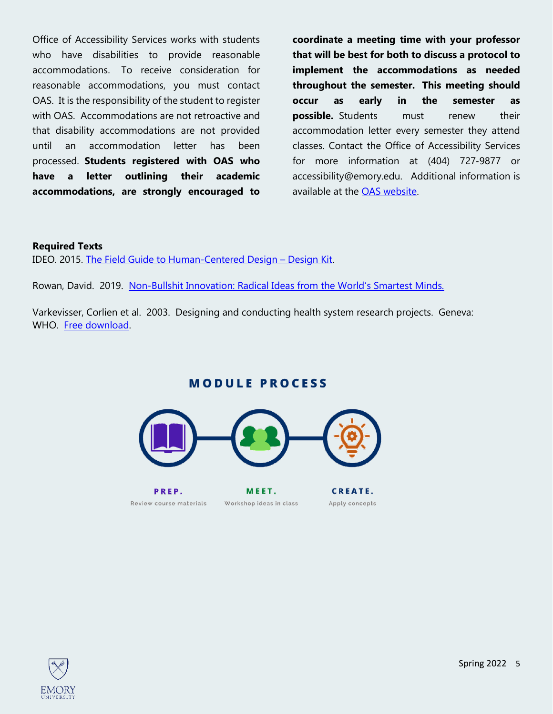Office of Accessibility Services works with students who have disabilities to provide reasonable accommodations. To receive consideration for reasonable accommodations, you must contact OAS. It is the responsibility of the student to register with OAS. Accommodations are not retroactive and that disability accommodations are not provided until an accommodation letter has been processed. **Students registered with OAS who have a letter outlining their academic accommodations, are strongly encouraged to** 

**coordinate a meeting time with your professor that will be best for both to discuss a protocol to implement the accommodations as needed throughout the semester. This meeting should occur as early in the semester as possible.** Students must renew their accommodation letter every semester they attend classes. Contact the Office of Accessibility Services for more information at (404) 727‐9877 or accessibility@emory.edu. Additional information is available at the [OAS website.](http://equityandinclusion.emory.edu/access/students/index.html)

### **Required Texts**

IDEO. 2015. [The Field Guide to Human-Centered Design](https://www.designkit.org/resources/1) – Design Kit.

Rowan, David. 2019. Non-[Bullshit Innovation: Radical Ideas from the World's Smartest Minds.](https://www.amazon.com/Non-Bullshit-Innovation/dp/1787631192/ref=sr_1_18?dchild=1&keywords=business+models+for+social+innovation&qid=1629742811&sr=8-18)

Varkevisser, Corlien et al. 2003. Designing and conducting health system research projects. Geneva: WHO. [Free download.](http://www.idrc.ca/EN/Resources/Publications/Pages/IDRCBookDetails.aspx?PublicationID=210)

**MODULE PROCESS** 



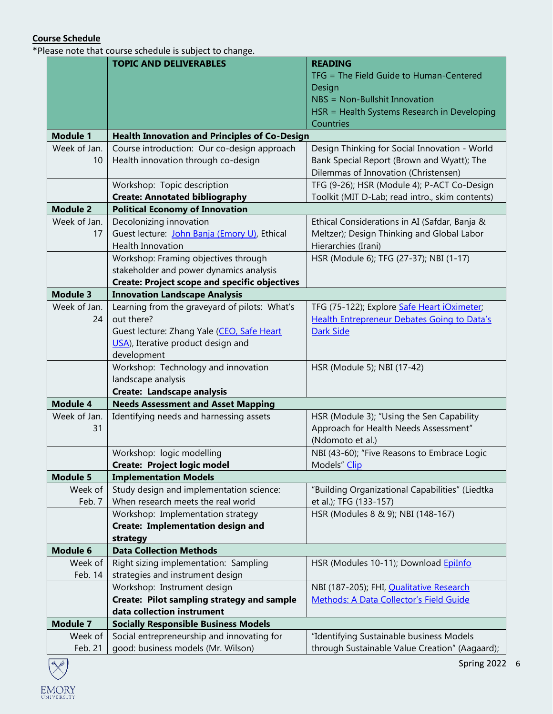## **Course Schedule**

\*Please note that course schedule is subject to change.

|                 | <b>TOPIC AND DELIVERABLES</b>                        | <b>READING</b>                                     |
|-----------------|------------------------------------------------------|----------------------------------------------------|
|                 |                                                      | TFG = The Field Guide to Human-Centered            |
|                 |                                                      | Design                                             |
|                 |                                                      | NBS = Non-Bullshit Innovation                      |
|                 |                                                      | HSR = Health Systems Research in Developing        |
|                 |                                                      | Countries                                          |
| <b>Module 1</b> | <b>Health Innovation and Principles of Co-Design</b> |                                                    |
| Week of Jan.    | Course introduction: Our co-design approach          | Design Thinking for Social Innovation - World      |
| 10              | Health innovation through co-design                  | Bank Special Report (Brown and Wyatt); The         |
|                 |                                                      | Dilemmas of Innovation (Christensen)               |
|                 | Workshop: Topic description                          | TFG (9-26); HSR (Module 4); P-ACT Co-Design        |
|                 | <b>Create: Annotated bibliography</b>                | Toolkit (MIT D-Lab; read intro., skim contents)    |
| <b>Module 2</b> | <b>Political Economy of Innovation</b>               |                                                    |
| Week of Jan.    | Decolonizing innovation                              | Ethical Considerations in AI (Safdar, Banja &      |
| 17              | Guest lecture: John Banja (Emory U), Ethical         | Meltzer); Design Thinking and Global Labor         |
|                 | <b>Health Innovation</b>                             | Hierarchies (Irani)                                |
|                 | Workshop: Framing objectives through                 | HSR (Module 6); TFG (27-37); NBI (1-17)            |
|                 | stakeholder and power dynamics analysis              |                                                    |
|                 | <b>Create: Project scope and specific objectives</b> |                                                    |
| <b>Module 3</b> | <b>Innovation Landscape Analysis</b>                 |                                                    |
| Week of Jan.    | Learning from the graveyard of pilots: What's        | TFG (75-122); Explore Safe Heart iOximeter;        |
| 24              | out there?                                           | <b>Health Entrepreneur Debates Going to Data's</b> |
|                 | Guest lecture: Zhang Yale (CEO, Safe Heart           | <b>Dark Side</b>                                   |
|                 | USA), Iterative product design and                   |                                                    |
|                 | development                                          |                                                    |
|                 | Workshop: Technology and innovation                  | HSR (Module 5); NBI (17-42)                        |
|                 | landscape analysis                                   |                                                    |
|                 | Create: Landscape analysis                           |                                                    |
| <b>Module 4</b> | <b>Needs Assessment and Asset Mapping</b>            |                                                    |
| Week of Jan.    | Identifying needs and harnessing assets              | HSR (Module 3); "Using the Sen Capability          |
| 31              |                                                      | Approach for Health Needs Assessment"              |
|                 |                                                      | (Ndomoto et al.)                                   |
|                 | Workshop: logic modelling                            | NBI (43-60); "Five Reasons to Embrace Logic        |
|                 | Create: Project logic model                          | Models" Clip                                       |
| <b>Module 5</b> | <b>Implementation Models</b>                         |                                                    |
| Week of         | Study design and implementation science:             | "Building Organizational Capabilities" (Liedtka    |
| Feb. 7          | When research meets the real world                   | et al.); TFG (133-157)                             |
|                 | Workshop: Implementation strategy                    | HSR (Modules 8 & 9); NBI (148-167)                 |
|                 | Create: Implementation design and                    |                                                    |
|                 | strategy                                             |                                                    |
| Module 6        | <b>Data Collection Methods</b>                       |                                                    |
| Week of         | Right sizing implementation: Sampling                | HSR (Modules 10-11); Download EpiInfo              |
| Feb. 14         | strategies and instrument design                     |                                                    |
|                 | Workshop: Instrument design                          | NBI (187-205); FHI, Qualitative Research           |
|                 | Create: Pilot sampling strategy and sample           | Methods: A Data Collector's Field Guide            |
|                 | data collection instrument                           |                                                    |
| <b>Module 7</b> | <b>Socially Responsible Business Models</b>          |                                                    |
| Week of         | Social entrepreneurship and innovating for           | "Identifying Sustainable business Models           |
| Feb. 21         | good: business models (Mr. Wilson)                   | through Sustainable Value Creation" (Aagaard);     |

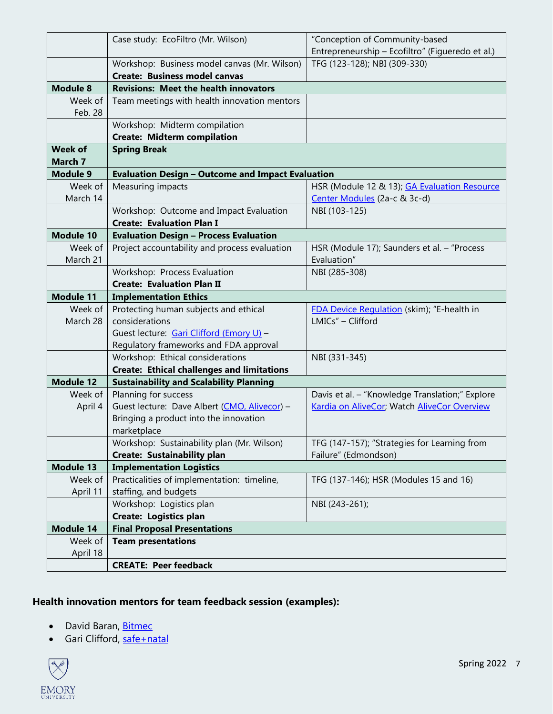|                           | Case study: EcoFiltro (Mr. Wilson)                                   | "Conception of Community-based                                                                 |
|---------------------------|----------------------------------------------------------------------|------------------------------------------------------------------------------------------------|
|                           |                                                                      | Entrepreneurship - Ecofiltro" (Figueredo et al.)                                               |
|                           | Workshop: Business model canvas (Mr. Wilson)                         | TFG (123-128); NBI (309-330)                                                                   |
|                           | <b>Create: Business model canvas</b>                                 |                                                                                                |
| <b>Module 8</b>           | <b>Revisions: Meet the health innovators</b>                         |                                                                                                |
| Week of                   | Team meetings with health innovation mentors                         |                                                                                                |
| Feb. 28                   |                                                                      |                                                                                                |
|                           | Workshop: Midterm compilation                                        |                                                                                                |
|                           | <b>Create: Midterm compilation</b>                                   |                                                                                                |
| <b>Week of</b><br>March 7 | <b>Spring Break</b>                                                  |                                                                                                |
| <b>Module 9</b>           | <b>Evaluation Design - Outcome and Impact Evaluation</b>             |                                                                                                |
| Week of                   | Measuring impacts                                                    | HSR (Module 12 & 13); GA Evaluation Resource                                                   |
| March 14                  |                                                                      | Center Modules (2a-c & 3c-d)                                                                   |
|                           | Workshop: Outcome and Impact Evaluation                              | NBI (103-125)                                                                                  |
|                           | <b>Create: Evaluation Plan I</b>                                     |                                                                                                |
| <b>Module 10</b>          | <b>Evaluation Design - Process Evaluation</b>                        |                                                                                                |
| Week of                   | Project accountability and process evaluation                        | HSR (Module 17); Saunders et al. - "Process                                                    |
| March 21                  |                                                                      | Evaluation"                                                                                    |
|                           | Workshop: Process Evaluation                                         | NBI (285-308)                                                                                  |
|                           | <b>Create: Evaluation Plan II</b>                                    |                                                                                                |
| <b>Module 11</b>          | <b>Implementation Ethics</b>                                         |                                                                                                |
| Week of                   | Protecting human subjects and ethical                                | FDA Device Regulation (skim); "E-health in                                                     |
| March 28                  | considerations                                                       | LMICs" - Clifford                                                                              |
|                           | Guest lecture: Gari Clifford (Emory U) -                             |                                                                                                |
|                           | Regulatory frameworks and FDA approval                               |                                                                                                |
|                           | Workshop: Ethical considerations                                     | NBI (331-345)                                                                                  |
| <b>Module 12</b>          | <b>Create: Ethical challenges and limitations</b>                    |                                                                                                |
|                           | <b>Sustainability and Scalability Planning</b>                       |                                                                                                |
| Week of                   | Planning for success<br>Guest lecture: Dave Albert (CMO, Alivecor) - | Davis et al. - "Knowledge Translation;" Explore<br>Kardia on AliveCor; Watch AliveCor Overview |
| April 4                   | Bringing a product into the innovation                               |                                                                                                |
|                           | marketplace                                                          |                                                                                                |
|                           | Workshop: Sustainability plan (Mr. Wilson)                           | TFG (147-157); "Strategies for Learning from                                                   |
|                           | Create: Sustainability plan                                          | Failure" (Edmondson)                                                                           |
| <b>Module 13</b>          | <b>Implementation Logistics</b>                                      |                                                                                                |
| Week of                   | Practicalities of implementation: timeline,                          | TFG (137-146); HSR (Modules 15 and 16)                                                         |
| April 11                  | staffing, and budgets                                                |                                                                                                |
|                           | Workshop: Logistics plan                                             | NBI (243-261);                                                                                 |
|                           | <b>Create: Logistics plan</b>                                        |                                                                                                |
| <b>Module 14</b>          | <b>Final Proposal Presentations</b>                                  |                                                                                                |
| Week of                   | <b>Team presentations</b>                                            |                                                                                                |
| April 18                  |                                                                      |                                                                                                |
|                           | <b>CREATE: Peer feedback</b>                                         |                                                                                                |

# **Health innovation mentors for team feedback session (examples):**

- David Baran, [Bitmec](https://bitmec.com/)
- Gari Clifford, [safe+natal](http://safenatal.org/)